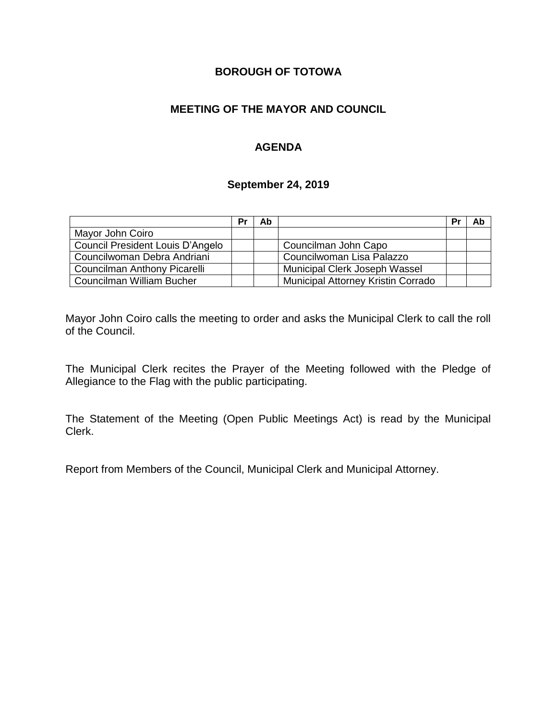# **BOROUGH OF TOTOWA**

# **MEETING OF THE MAYOR AND COUNCIL**

# **AGENDA**

#### **September 24, 2019**

|                                  | Pr | Ab |                                    | Pr | Ab |
|----------------------------------|----|----|------------------------------------|----|----|
| Mayor John Coiro                 |    |    |                                    |    |    |
| Council President Louis D'Angelo |    |    | Councilman John Capo               |    |    |
| Councilwoman Debra Andriani      |    |    | Councilwoman Lisa Palazzo          |    |    |
| Councilman Anthony Picarelli     |    |    | Municipal Clerk Joseph Wassel      |    |    |
| Councilman William Bucher        |    |    | Municipal Attorney Kristin Corrado |    |    |

Mayor John Coiro calls the meeting to order and asks the Municipal Clerk to call the roll of the Council.

The Municipal Clerk recites the Prayer of the Meeting followed with the Pledge of Allegiance to the Flag with the public participating.

The Statement of the Meeting (Open Public Meetings Act) is read by the Municipal Clerk.

Report from Members of the Council, Municipal Clerk and Municipal Attorney.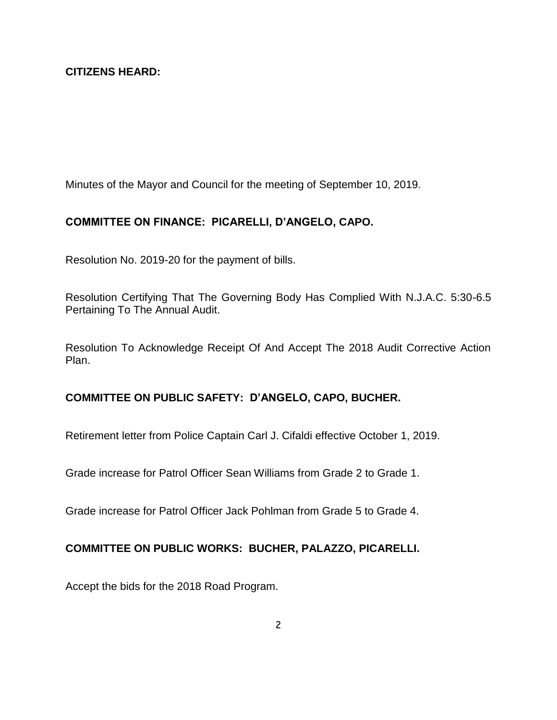## **CITIZENS HEARD:**

Minutes of the Mayor and Council for the meeting of September 10, 2019.

# **COMMITTEE ON FINANCE: PICARELLI, D'ANGELO, CAPO.**

Resolution No. 2019-20 for the payment of bills.

Resolution Certifying That The Governing Body Has Complied With N.J.A.C. 5:30-6.5 Pertaining To The Annual Audit.

Resolution To Acknowledge Receipt Of And Accept The 2018 Audit Corrective Action Plan.

#### **COMMITTEE ON PUBLIC SAFETY: D'ANGELO, CAPO, BUCHER.**

Retirement letter from Police Captain Carl J. Cifaldi effective October 1, 2019.

Grade increase for Patrol Officer Sean Williams from Grade 2 to Grade 1.

Grade increase for Patrol Officer Jack Pohlman from Grade 5 to Grade 4.

#### **COMMITTEE ON PUBLIC WORKS: BUCHER, PALAZZO, PICARELLI.**

Accept the bids for the 2018 Road Program.